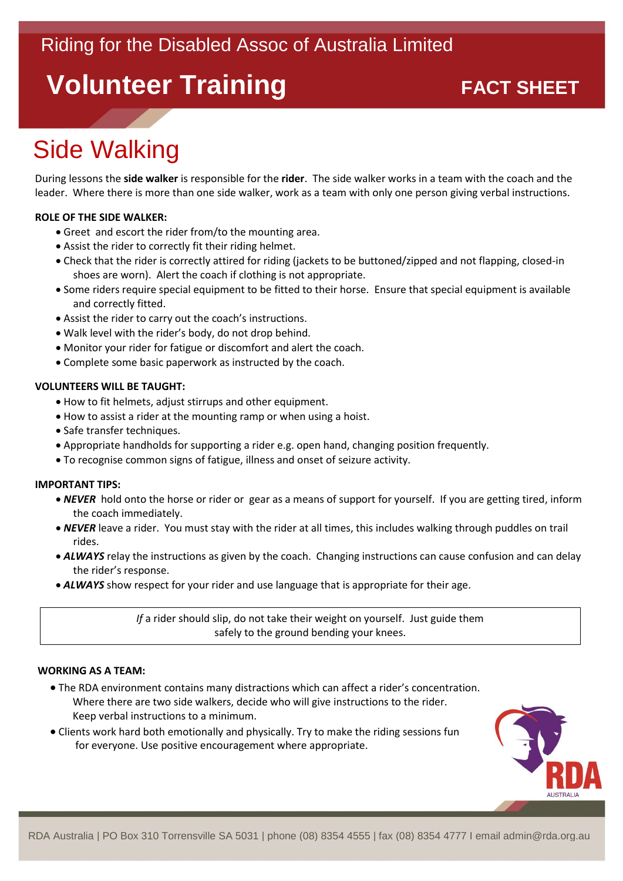# **Volunteer Training**<br> **EXACT SHEET**

# Side Walking

During lessons the **side walker** is responsible for the **rider**. The side walker works in a team with the coach and the leader. Where there is more than one side walker, work as a team with only one person giving verbal instructions.

## **ROLE OF THE SIDE WALKER:**

- Greet and escort the rider from/to the mounting area.
- Assist the rider to correctly fit their riding helmet.
- Check that the rider is correctly attired for riding (jackets to be buttoned/zipped and not flapping, closed-in shoes are worn). Alert the coach if clothing is not appropriate.
- Some riders require special equipment to be fitted to their horse. Ensure that special equipment is available and correctly fitted.
- Assist the rider to carry out the coach's instructions.
- Walk level with the rider's body, do not drop behind.
- Monitor your rider for fatigue or discomfort and alert the coach.
- Complete some basic paperwork as instructed by the coach.

## **VOLUNTEERS WILL BE TAUGHT:**

- How to fit helmets, adjust stirrups and other equipment.
- How to assist a rider at the mounting ramp or when using a hoist.
- Safe transfer techniques.
- Appropriate handholds for supporting a rider e.g. open hand, changing position frequently.
- To recognise common signs of fatigue, illness and onset of seizure activity.

### **IMPORTANT TIPS:**

- *NEVER* hold onto the horse or rider or gear as a means of support for yourself. If you are getting tired, inform the coach immediately.
- *NEVER* leave a rider. You must stay with the rider at all times, this includes walking through puddles on trail rides.
- *ALWAYS* relay the instructions as given by the coach. Changing instructions can cause confusion and can delay the rider's response.
- *ALWAYS* show respect for your rider and use language that is appropriate for their age.

*If* a rider should slip, do not take their weight on yourself. Just guide them safely to the ground bending your knees.

### **WORKING AS A TEAM:**

- The RDA environment contains many distractions which can affect a rider's concentration. Where there are two side walkers, decide who will give instructions to the rider. Keep verbal instructions to a minimum.
- Clients work hard both emotionally and physically. Try to make the riding sessions fun for everyone. Use positive encouragement where appropriate.